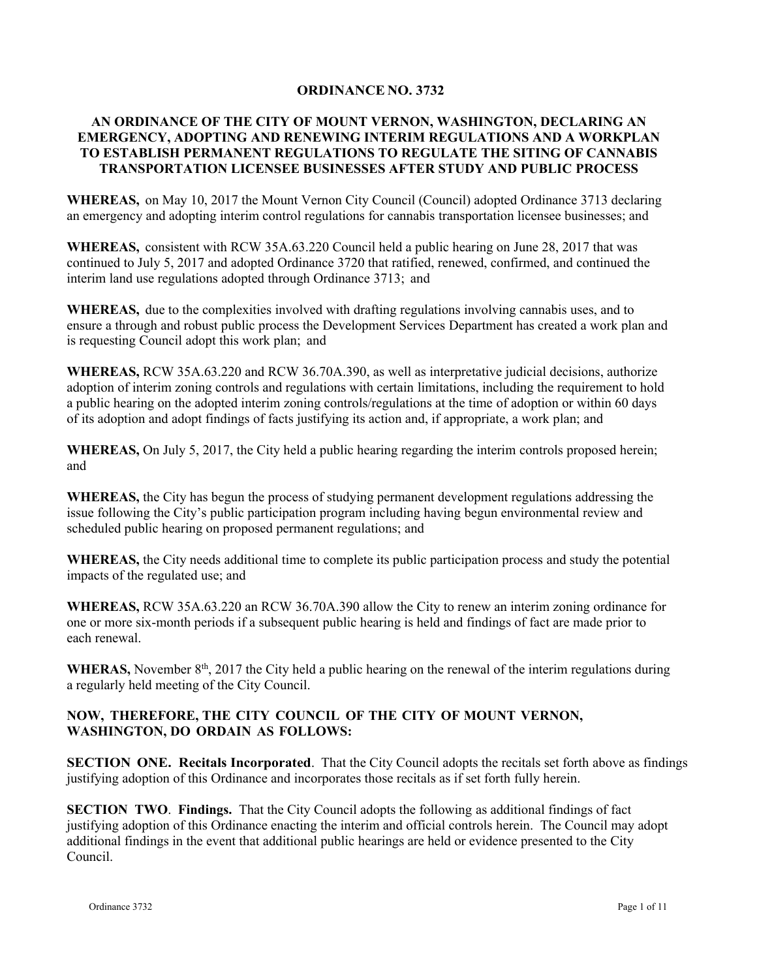### **ORDINANCE NO. 3732**

## **AN ORDINANCE OF THE CITY OF MOUNT VERNON, WASHINGTON, DECLARING AN EMERGENCY, ADOPTING AND RENEWING INTERIM REGULATIONS AND A WORKPLAN TO ESTABLISH PERMANENT REGULATIONS TO REGULATE THE SITING OF CANNABIS TRANSPORTATION LICENSEE BUSINESSES AFTER STUDY AND PUBLIC PROCESS**

**WHEREAS,** on May 10, 2017 the Mount Vernon City Council (Council) adopted Ordinance 3713 declaring an emergency and adopting interim control regulations for cannabis transportation licensee businesses; and

**WHEREAS,** consistent with RCW 35A.63.220 Council held a public hearing on June 28, 2017 that was continued to July 5, 2017 and adopted Ordinance 3720 that ratified, renewed, confirmed, and continued the interim land use regulations adopted through Ordinance 3713; and

**WHEREAS,** due to the complexities involved with drafting regulations involving cannabis uses, and to ensure a through and robust public process the Development Services Department has created a work plan and is requesting Council adopt this work plan; and

**WHEREAS,** RCW 35A.63.220 and RCW 36.70A.390, as well as interpretative judicial decisions, authorize adoption of interim zoning controls and regulations with certain limitations, including the requirement to hold a public hearing on the adopted interim zoning controls/regulations at the time of adoption or within 60 days of its adoption and adopt findings of facts justifying its action and, if appropriate, a work plan; and

**WHEREAS,** On July 5, 2017, the City held a public hearing regarding the interim controls proposed herein; and

**WHEREAS,** the City has begun the process of studying permanent development regulations addressing the issue following the City's public participation program including having begun environmental review and scheduled public hearing on proposed permanent regulations; and

**WHEREAS,** the City needs additional time to complete its public participation process and study the potential impacts of the regulated use; and

**WHEREAS,** RCW 35A.63.220 an RCW 36.70A.390 allow the City to renew an interim zoning ordinance for one or more six-month periods if a subsequent public hearing is held and findings of fact are made prior to each renewal.

WHERAS, November 8<sup>th</sup>, 2017 the City held a public hearing on the renewal of the interim regulations during a regularly held meeting of the City Council.

## **NOW, THEREFORE, THE CITY COUNCIL OF THE CITY OF MOUNT VERNON, WASHINGTON, DO ORDAIN AS FOLLOWS:**

**SECTION ONE. Recitals Incorporated**. That the City Council adopts the recitals set forth above as findings justifying adoption of this Ordinance and incorporates those recitals as if set forth fully herein.

**SECTION TWO. Findings.** That the City Council adopts the following as additional findings of fact justifying adoption of this Ordinance enacting the interim and official controls herein. The Council may adopt additional findings in the event that additional public hearings are held or evidence presented to the City Council.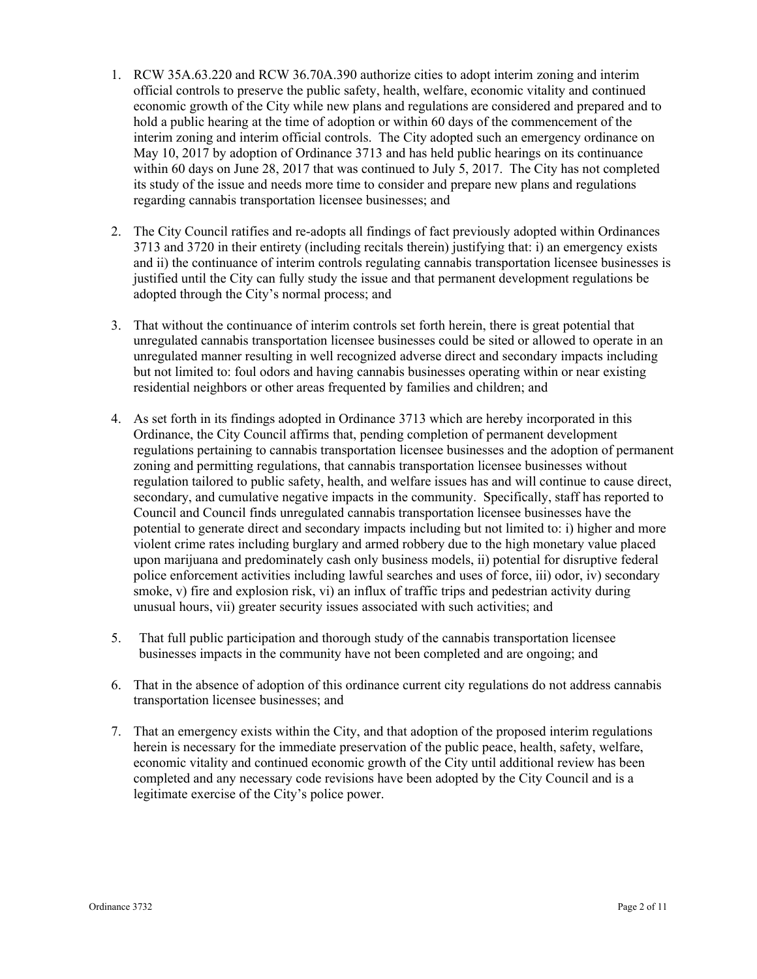- 1. RCW 35A.63.220 and RCW 36.70A.390 authorize cities to adopt interim zoning and interim official controls to preserve the public safety, health, welfare, economic vitality and continued economic growth of the City while new plans and regulations are considered and prepared and to hold a public hearing at the time of adoption or within 60 days of the commencement of the interim zoning and interim official controls. The City adopted such an emergency ordinance on May 10, 2017 by adoption of Ordinance 3713 and has held public hearings on its continuance within 60 days on June 28, 2017 that was continued to July 5, 2017. The City has not completed its study of the issue and needs more time to consider and prepare new plans and regulations regarding cannabis transportation licensee businesses; and
- 2. The City Council ratifies and re-adopts all findings of fact previously adopted within Ordinances 3713 and 3720 in their entirety (including recitals therein) justifying that: i) an emergency exists and ii) the continuance of interim controls regulating cannabis transportation licensee businesses is justified until the City can fully study the issue and that permanent development regulations be adopted through the City's normal process; and
- 3. That without the continuance of interim controls set forth herein, there is great potential that unregulated cannabis transportation licensee businesses could be sited or allowed to operate in an unregulated manner resulting in well recognized adverse direct and secondary impacts including but not limited to: foul odors and having cannabis businesses operating within or near existing residential neighbors or other areas frequented by families and children; and
- 4. As set forth in its findings adopted in Ordinance 3713 which are hereby incorporated in this Ordinance, the City Council affirms that, pending completion of permanent development regulations pertaining to cannabis transportation licensee businesses and the adoption of permanent zoning and permitting regulations, that cannabis transportation licensee businesses without regulation tailored to public safety, health, and welfare issues has and will continue to cause direct, secondary, and cumulative negative impacts in the community. Specifically, staff has reported to Council and Council finds unregulated cannabis transportation licensee businesses have the potential to generate direct and secondary impacts including but not limited to: i) higher and more violent crime rates including burglary and armed robbery due to the high monetary value placed upon marijuana and predominately cash only business models, ii) potential for disruptive federal police enforcement activities including lawful searches and uses of force, iii) odor, iv) secondary smoke, v) fire and explosion risk, vi) an influx of traffic trips and pedestrian activity during unusual hours, vii) greater security issues associated with such activities; and
- 5. That full public participation and thorough study of the cannabis transportation licensee businesses impacts in the community have not been completed and are ongoing; and
- 6. That in the absence of adoption of this ordinance current city regulations do not address cannabis transportation licensee businesses; and
- 7. That an emergency exists within the City, and that adoption of the proposed interim regulations herein is necessary for the immediate preservation of the public peace, health, safety, welfare, economic vitality and continued economic growth of the City until additional review has been completed and any necessary code revisions have been adopted by the City Council and is a legitimate exercise of the City's police power.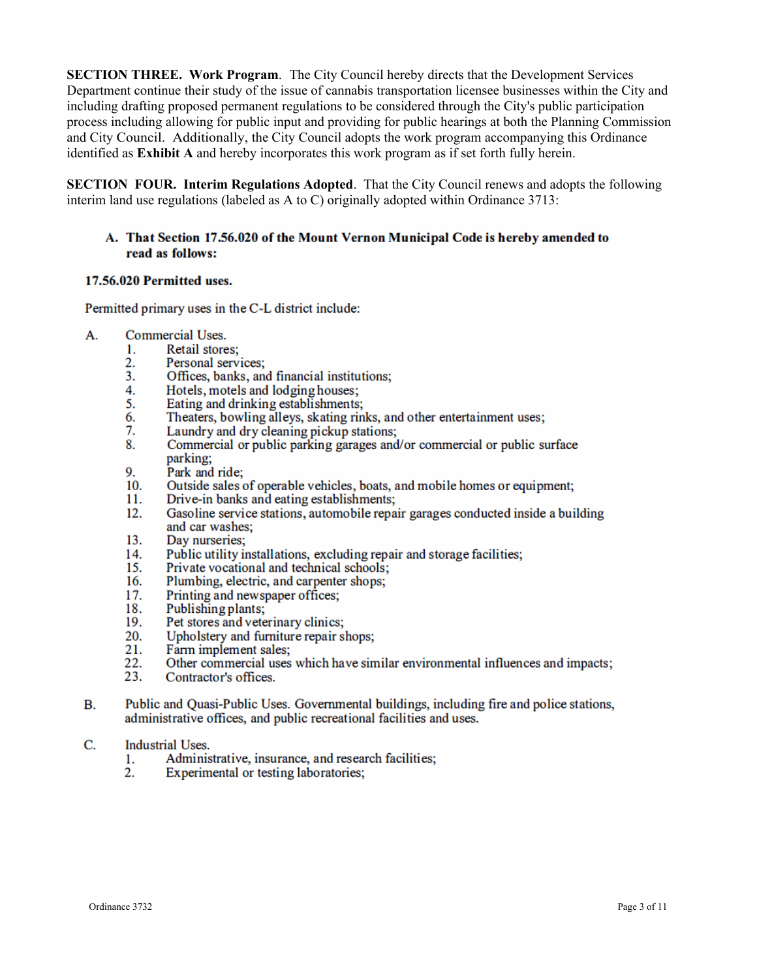**SECTION THREE.** Work Program. The City Council hereby directs that the Development Services Department continue their study of the issue of cannabis transportation licensee businesses within the City and including drafting proposed permanent regulations to be considered through the City's public participation process including allowing for public input and providing for public hearings at both the Planning Commission and City Council. Additionally, the City Council adopts the work program accompanying this Ordinance identified as **Exhibit A** and hereby incorporates this work program as if set forth fully herein.

**SECTION FOUR. Interim Regulations Adopted.** That the City Council renews and adopts the following interim land use regulations (labeled as A to C) originally adopted within Ordinance 3713:

## A. That Section 17.56.020 of the Mount Vernon Municipal Code is hereby amended to read as follows:

### 17.56.020 Permitted uses.

Permitted primary uses in the C-L district include:

- A. Commercial Uses.
	- Retail stores:  $\mathbf{1}$ .
	- $2.$ Personal services:
	- Offices, banks, and financial institutions;  $3<sub>1</sub>$
	- Hotels, motels and lodging houses; 4.
	- Eating and drinking establishments; 5.
	- Theaters, bowling alleys, skating rinks, and other entertainment uses: 6.
	- 7. Laundry and dry cleaning pickup stations;
	- 8. Commercial or public parking garages and/or commercial or public surface parking;
	- 9. Park and ride;
	- Outside sales of operable vehicles, boats, and mobile homes or equipment; 10.
	- 11. Drive-in banks and eating establishments;
	- Gasoline service stations, automobile repair garages conducted inside a building  $12.$ and car washes;
	- 13. Day nurseries:
	- Public utility installations, excluding repair and storage facilities: 14.
	- 15. Private vocational and technical schools;
	- 16. Plumbing, electric, and carpenter shops;
	- Printing and newspaper offices; 17.
	- Publishing plants; 18.
	- Pet stores and veterinary clinics; 19.
	- 20. Upholstery and furniture repair shops;
	- 21. Farm implement sales;
	- Other commercial uses which have similar environmental influences and impacts; 22.
	- 23. Contractor's offices.
- Public and Ouasi-Public Uses. Governmental buildings, including fire and police stations, **B.** administrative offices, and public recreational facilities and uses.
- C. Industrial Uses.
	- 1. Administrative, insurance, and research facilities;
	- 2. Experimental or testing laboratories;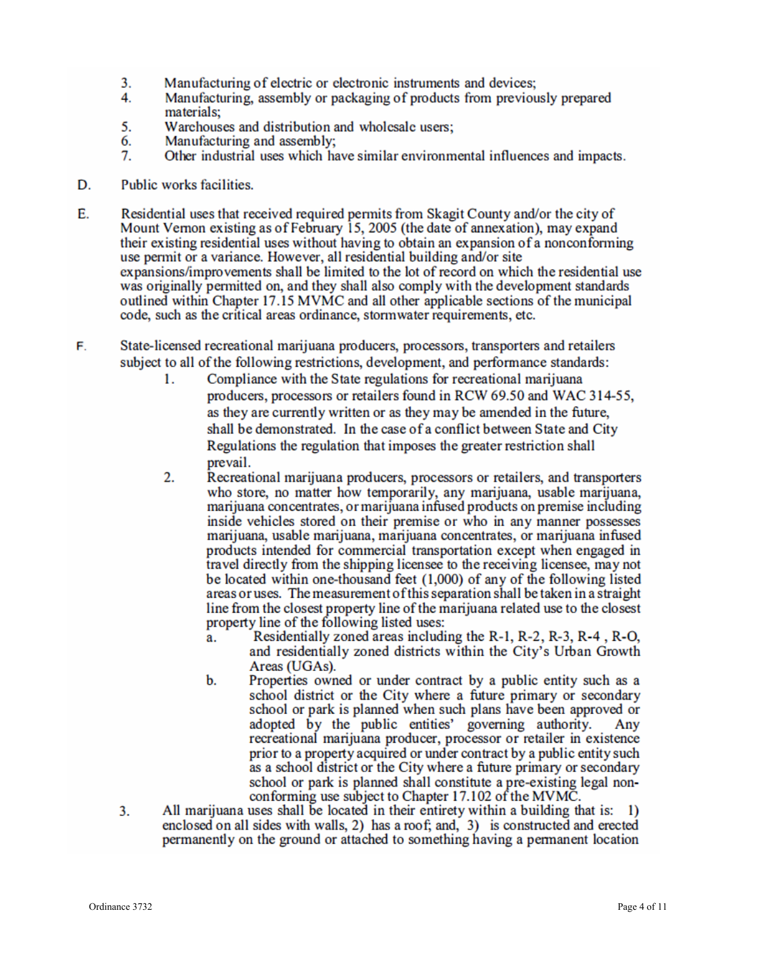- 3. Manufacturing of electric or electronic instruments and devices;
- 4. Manufacturing, assembly or packaging of products from previously prepared materials:
- 5. Warehouses and distribution and wholesale users:
- 6. Manufacturing and assembly;
- 7. Other industrial uses which have similar environmental influences and impacts.
- D. Public works facilities.
- Е. Residential uses that received required permits from Skagit County and/or the city of Mount Vernon existing as of February 15, 2005 (the date of annexation), may expand their existing residential uses without having to obtain an expansion of a nonconforming use permit or a variance. However, all residential building and/or site expansions/improvements shall be limited to the lot of record on which the residential use was originally permitted on, and they shall also comply with the development standards outlined within Chapter 17.15 MVMC and all other applicable sections of the municipal code, such as the critical areas ordinance, stormwater requirements, etc.
- State-licensed recreational marijuana producers, processors, transporters and retailers F. subject to all of the following restrictions, development, and performance standards:
	- Compliance with the State regulations for recreational marijuana 1. producers, processors or retailers found in RCW 69.50 and WAC 314-55, as they are currently written or as they may be amended in the future, shall be demonstrated. In the case of a conflict between State and City Regulations the regulation that imposes the greater restriction shall prevail.
	- $\overline{2}$ . Recreational marijuana producers, processors or retailers, and transporters who store, no matter how temporarily, any marijuana, usable marijuana, marijuana concentrates, or marijuana infused products on premise including inside vehicles stored on their premise or who in any manner possesses marijuana, usable marijuana, marijuana concentrates, or marijuana infused products intended for commercial transportation except when engaged in travel directly from the shipping licensee to the receiving licensee, may not be located within one-thousand feet (1,000) of any of the following listed areas or uses. The measurement of this separation shall be taken in a straight line from the closest property line of the marijuana related use to the closest property line of the following listed uses:
		- Residentially zoned areas including the R-1, R-2, R-3, R-4, R-O, a. and residentially zoned districts within the City's Urban Growth Areas (UGAs).
		- Properties owned or under contract by a public entity such as a b. school district or the City where a future primary or secondary school or park is planned when such plans have been approved or adopted by the public entities' governing authority. Anv recreational marijuana producer, processor or retailer in existence prior to a property acquired or under contract by a public entity such as a school district or the City where a future primary or secondary school or park is planned shall constitute a pre-existing legal nonconforming use subject to Chapter 17.102 of the MVMC.
	- All marijuana uses shall be located in their entirety within a building that is: 1)  $3.$ enclosed on all sides with walls, 2) has a roof; and, 3) is constructed and erected permanently on the ground or attached to something having a permanent location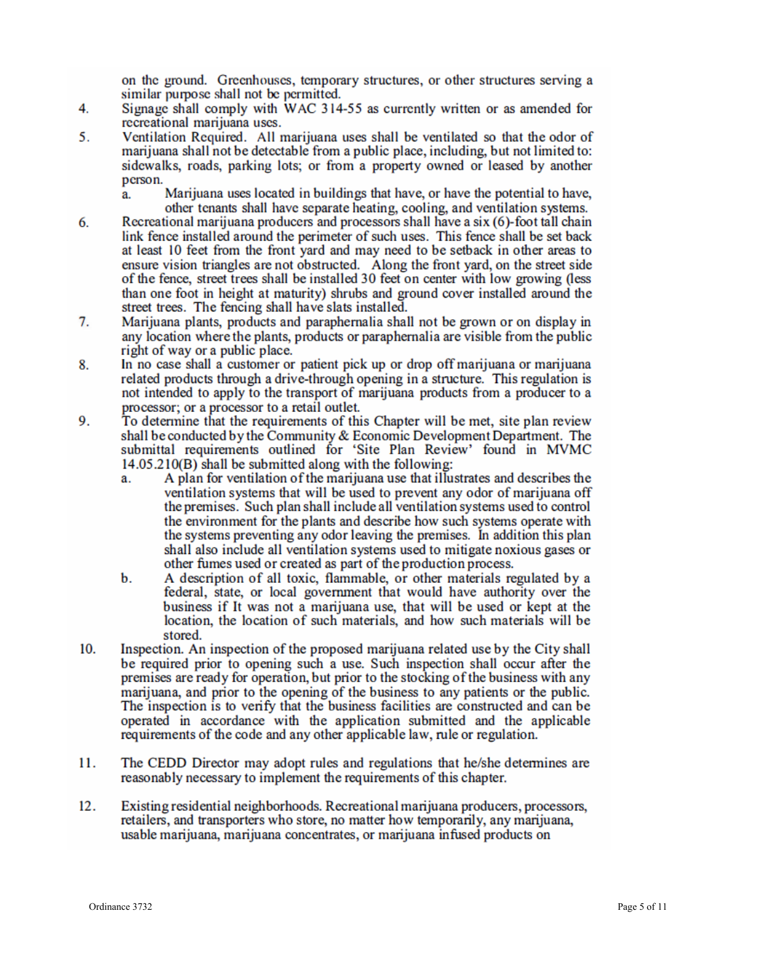on the ground. Greenhouses, temporary structures, or other structures serving a similar purpose shall not be permitted.

- $4.$ Signage shall comply with WAC 314-55 as currently written or as amended for recreational marijuana uses.
- 5. Ventilation Required. All marijuana uses shall be ventilated so that the odor of marijuana shall not be detectable from a public place, including, but not limited to: sidewalks, roads, parking lots; or from a property owned or leased by another person.
	- Marijuana uses located in buildings that have, or have the potential to have. a. other tenants shall have separate heating, cooling, and ventilation systems.
- Recreational marijuana producers and processors shall have a six (6)-foot tall chain 6. link fence installed around the perimeter of such uses. This fence shall be set back at least 10 feet from the front yard and may need to be setback in other areas to ensure vision triangles are not obstructed. Along the front yard, on the street side of the fence, street trees shall be installed 30 feet on center with low growing (less than one foot in height at maturity) shrubs and ground cover installed around the street trees. The fencing shall have slats installed.
- 7. Marijuana plants, products and paraphernalia shall not be grown or on display in any location where the plants, products or paraphernal a are visible from the public right of way or a public place.
- In no case shall a customer or patient pick up or drop off marijuana or marijuana 8. related products through a drive-through opening in a structure. This regulation is not intended to apply to the transport of marijuana products from a producer to a processor; or a processor to a retail outlet.
- 9. To determine that the requirements of this Chapter will be met, site plan review shall be conducted by the Community & Economic Development Department. The submittal requirements outlined for 'Site Plan Review' found in MVMC 14.05.210(B) shall be submitted along with the following:
	- A plan for ventilation of the marijuana use that illustrates and describes the a. ventilation systems that will be used to prevent any odor of marijuana off the premises. Such plan shall include all ventilation systems used to control the environment for the plants and describe how such systems operate with the systems preventing any odor leaving the premises. In addition this plan shall also include all ventilation systems used to mitigate noxious gases or other fumes used or created as part of the production process.
	- b. A description of all toxic, flammable, or other materials regulated by a federal, state, or local government that would have authority over the business if It was not a marijuana use, that will be used or kept at the location, the location of such materials, and how such materials will be stored.
- 10. Inspection. An inspection of the proposed marijuana related use by the City shall be required prior to opening such a use. Such inspection shall occur after the premises are ready for operation, but prior to the stocking of the business with any marijuana, and prior to the opening of the business to any patients or the public. The inspection is to verify that the business facilities are constructed and can be operated in accordance with the application submitted and the applicable requirements of the code and any other applicable law, rule or regulation.
- 11. The CEDD Director may adopt rules and regulations that he/she determines are reasonably necessary to implement the requirements of this chapter.
- $12.$ Existing residential neighborhoods. Recreational marituana producers, processors, retailers, and transporters who store, no matter how temporarily, any marijuana, usable marijuana, marijuana concentrates, or marijuana infused products on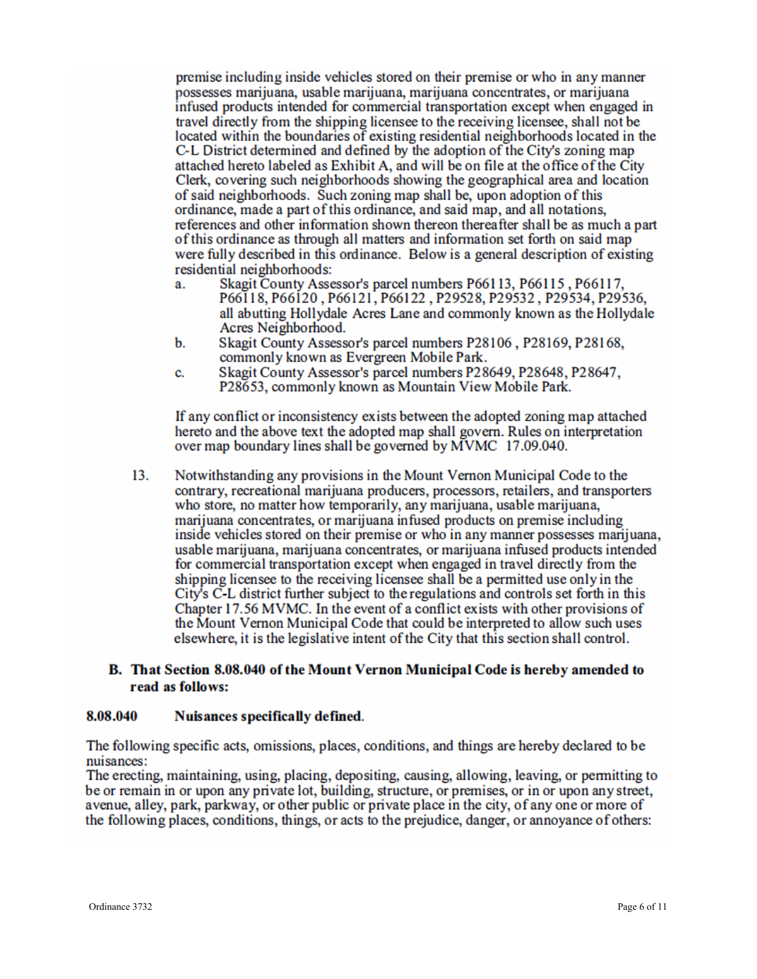premise including inside vehicles stored on their premise or who in any manner possesses marijuana, usable marijuana, marijuana concentrates, or marijuana infused products intended for commercial transportation except when engaged in travel directly from the shipping licensee to the receiving licensee, shall not be located within the boundaries of existing residential neighborhoods located in the C-L District determined and defined by the adoption of the City's zoning map attached hereto labeled as Exhibit A, and will be on file at the office of the City Clerk, covering such neighborhoods showing the geographical area and location of said neighborhoods. Such zoning map shall be, upon adoption of this ordinance, made a part of this ordinance, and said map, and all notations, references and other information shown thereon thereafter shall be as much a part of this ordinance as through all matters and information set forth on said map were fully described in this ordinance. Below is a general description of existing residential neighborhoods:

- Skagit County Assessor's parcel numbers P66113, P66115, P66117, a. P66118, P66120, P66121, P66122, P29528, P29532, P29534, P29536, all abutting Hollydale Acres Lane and commonly known as the Hollydale Acres Neighborhood.
- b. Skagit County Assessor's parcel numbers P28106, P28169, P28168, commonly known as Evergreen Mobile Park.
- Skagit County Assessor's parcel numbers P28649, P28648, P28647, c. P28653, commonly known as Mountain View Mobile Park.

If any conflict or inconsistency exists between the adopted zoning map attached hereto and the above text the adopted map shall govern. Rules on interpretation over map boundary lines shall be governed by MVMC 17.09.040.

13. Notwithstanding any provisions in the Mount Vernon Municipal Code to the contrary, recreational marijuana producers, processors, retailers, and transporters who store, no matter how temporarily, any marijuana, usable marijuana, marijuana concentrates, or marijuana infused products on premise including inside vehicles stored on their premise or who in any manner possesses marijuana, usable marijuana, marijuana concentrates, or marijuana infused products intended for commercial transportation except when engaged in travel directly from the shipping licensee to the receiving licensee shall be a permitted use only in the City's C-L district further subject to the regulations and controls set forth in this Chapter 17.56 MVMC. In the event of a conflict exists with other provisions of the Mount Vernon Municipal Code that could be interpreted to allow such uses elsewhere, it is the legislative intent of the City that this section shall control.

## B. That Section 8.08.040 of the Mount Vernon Municipal Code is hereby amended to read as follows:

#### 8.08.040 Nuisances specifically defined.

The following specific acts, omissions, places, conditions, and things are hereby declared to be nuisances:

The erecting, maintaining, using, placing, depositing, causing, allowing, leaving, or permitting to be or remain in or upon any private lot, building, structure, or premises, or in or upon any street, avenue, alley, park, parkway, or other public or private place in the city, of any one or more of the following places, conditions, things, or acts to the prejudice, danger, or annoyance of others: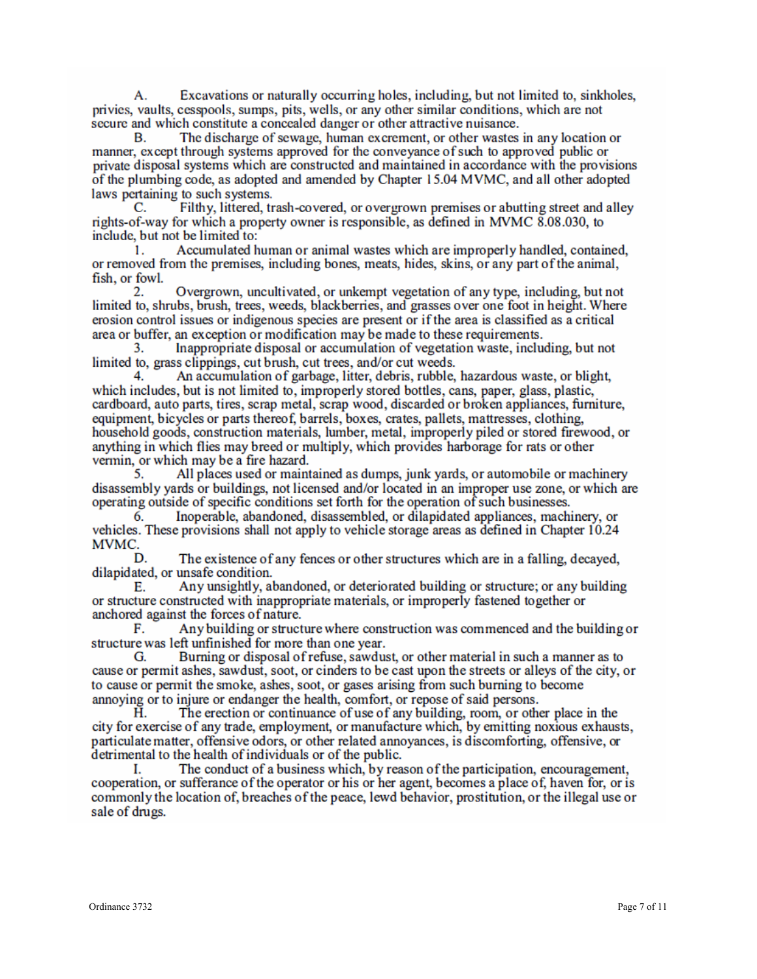Excavations or naturally occurring holes, including, but not limited to, sinkholes, А. privies, vaults, cesspools, sumps, pits, wells, or any other similar conditions, which are not secure and which constitute a concealed danger or other attractive nuisance.

The discharge of sewage, human excrement, or other wastes in any location or В. manner, except through systems approved for the conveyance of such to approved public or private disposal systems which are constructed and maintained in accordance with the provisions of the plumbing code, as adopted and amended by Chapter 15.04 MVMC, and all other adopted laws pertaining to such systems.

 $\mathbf{C}$ Filthy, littered, trash-covered, or overgrown premises or abutting street and alley rights-of-way for which a property owner is responsible, as defined in MVMC 8.08.030, to include, but not be limited to:

Accumulated human or animal wastes which are improperly handled, contained,  $\mathbf{1}$ or removed from the premises, including bones, meats, hides, skins, or any part of the animal, fish, or fowl.

 $\overline{2}$ Overgrown, uncultivated, or unkempt vegetation of any type, including, but not limited to, shrubs, brush, trees, weeds, blackberries, and grasses over one foot in height. Where erosion control issues or indigenous species are present or if the area is classified as a critical area or buffer, an exception or modification may be made to these requirements.

Inappropriate disposal or accumulation of vegetation waste, including, but not 3. limited to, grass clippings, cut brush, cut trees, and/or cut weeds.

An accumulation of garbage, litter, debris, rubble, hazardous waste, or blight, which includes, but is not limited to, improperly stored bottles, cans, paper, glass, plastic, cardboard, auto parts, tires, scrap metal, scrap wood, discarded or broken appliances, furniture, equipment, bicycles or parts thereof, barrels, boxes, crates, pallets, mattresses, clothing, household goods, construction materials, lumber, metal, improperly piled or stored firewood, or anything in which flies may breed or multiply, which provides harborage for rats or other vermin, or which may be a fire hazard.

All places used or maintained as dumps, junk yards, or automobile or machinery 5. disassembly vards or buildings, not licensed and/or located in an improper use zone, or which are operating outside of specific conditions set forth for the operation of such businesses.

Inoperable, abandoned, disassembled, or dilapidated appliances, machinery, or 6. vehicles. These provisions shall not apply to vehicle storage areas as defined in Chapter 10.24 MVMC.

The existence of any fences or other structures which are in a falling, decaved. D dilapidated, or unsafe condition.

Any unsightly, abandoned, or deteriorated building or structure; or any building Е. or structure constructed with inappropriate materials, or improperly fastened together or anchored against the forces of nature.

Any building or structure where construction was commenced and the building or F. structure was left unfinished for more than one year.

Burning or disposal of refuse, sawdust, or other material in such a manner as to G. cause or permit ashes, sawdust, soot, or cinders to be cast upon the streets or alleys of the city, or to cause or permit the smoke, ashes, soot, or gases arising from such burning to become annoying or to injure or endanger the health, comfort, or repose of said persons.

The erection or continuance of use of any building, room, or other place in the Ĥ. city for exercise of any trade, employment, or manufacture which, by emitting noxious exhausts, particulate matter, offensive odors, or other related annoyances, is discomforting, offensive, or detrimental to the health of individuals or of the public.

The conduct of a business which, by reason of the participation, encouragement, I. cooperation, or sufferance of the operator or his or her agent, becomes a place of, haven for, or is commonly the location of, breaches of the peace, lewd behavior, prostitution, or the illegal use or sale of drugs.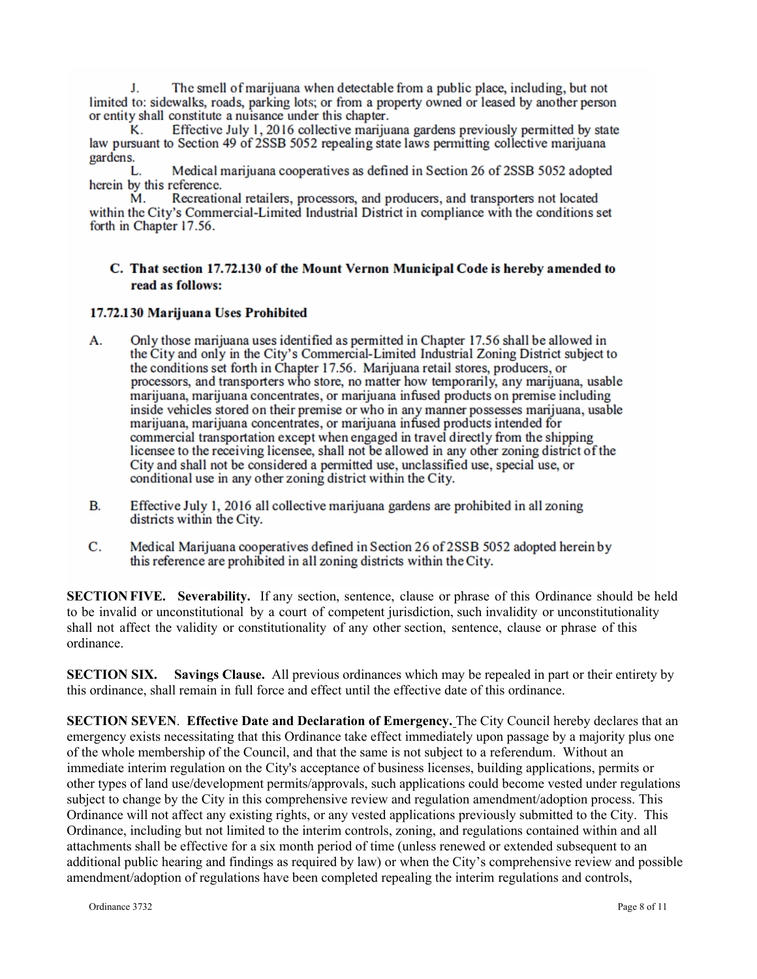J. The smell of marijuana when detectable from a public place, including, but not limited to: sidewalks, roads, parking lots; or from a property owned or leased by another person or entity shall constitute a nuisance under this chapter.

Effective July 1, 2016 collective marijuana gardens previously permitted by state Κ. law pursuant to Section 49 of 2SSB 5052 repealing state laws permitting collective marijuana gardens.

Medical marijuana cooperatives as defined in Section 26 of 2SSB 5052 adopted L. herein by this reference.

Recreational retailers, processors, and producers, and transporters not located М. within the City's Commercial-Limited Industrial District in compliance with the conditions set forth in Chapter 17.56.

## C. That section 17.72.130 of the Mount Vernon Municipal Code is hereby amended to read as follows:

### 17.72.130 Marijuana Uses Prohibited

- Only those marijuana uses identified as permitted in Chapter 17.56 shall be allowed in А. the City and only in the City's Commercial-Limited Industrial Zoning District subject to the conditions set forth in Chapter 17.56. Marijuana retail stores, producers, or processors, and transporters who store, no matter how temporarily, any marijuana, usable marijuana, marijuana concentrates, or marijuana infused products on premise including inside vehicles stored on their premise or who in any manner possesses marijuana, usable marijuana, marijuana concentrates, or marijuana infused products intended for commercial transportation except when engaged in travel directly from the shipping licensee to the receiving licensee, shall not be allowed in any other zoning district of the City and shall not be considered a permitted use, unclassified use, special use, or conditional use in any other zoning district within the City.
- В. Effective July 1, 2016 all collective marijuana gardens are prohibited in all zoning districts within the City.
- C. Medical Marijuana cooperatives defined in Section 26 of 2SSB 5052 adopted herein by this reference are prohibited in all zoning districts within the City.

**SECTION FIVE. Severability.** If any section, sentence, clause or phrase of this Ordinance should be held to be invalid or unconstitutional by a court of competent jurisdiction, such invalidity or unconstitutionality shall not affect the validity or constitutionality of any other section, sentence, clause or phrase of this ordinance.

**SECTION SIX. Savings Clause.** All previous ordinances which may be repealed in part or their entirety by this ordinance, shall remain in full force and effect until the effective date of this ordinance.

**SECTION SEVEN**. **Effective Date and Declaration of Emergency.** The City Council hereby declares that an emergency exists necessitating that this Ordinance take effect immediately upon passage by a majority plus one of the whole membership of the Council, and that the same is not subject to a referendum. Without an immediate interim regulation on the City's acceptance of business licenses, building applications, permits or other types of land use/development permits/approvals, such applications could become vested under regulations subject to change by the City in this comprehensive review and regulation amendment/adoption process. This Ordinance will not affect any existing rights, or any vested applications previously submitted to the City. This Ordinance, including but not limited to the interim controls, zoning, and regulations contained within and all attachments shall be effective for a six month period of time (unless renewed or extended subsequent to an additional public hearing and findings as required by law) or when the City's comprehensive review and possible amendment/adoption of regulations have been completed repealing the interim regulations and controls,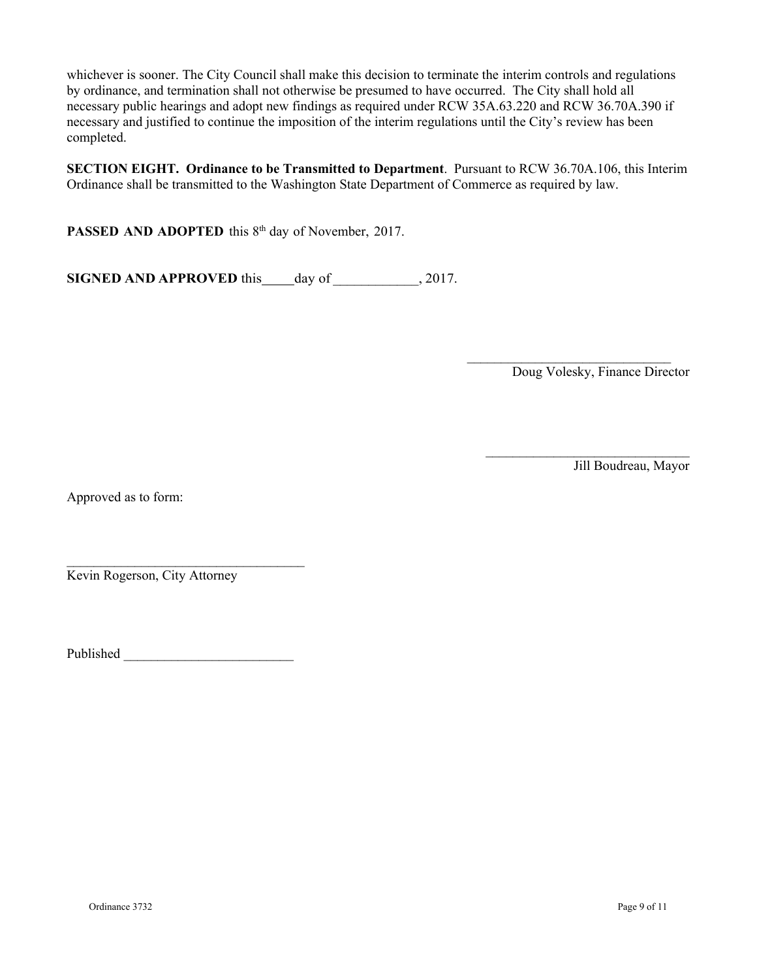whichever is sooner. The City Council shall make this decision to terminate the interim controls and regulations by ordinance, and termination shall not otherwise be presumed to have occurred. The City shall hold all necessary public hearings and adopt new findings as required under RCW 35A.63.220 and RCW 36.70A.390 if necessary and justified to continue the imposition of the interim regulations until the City's review has been completed.

**SECTION EIGHT. Ordinance to be Transmitted to Department**. Pursuant to RCW 36.70A.106, this Interim Ordinance shall be transmitted to the Washington State Department of Commerce as required by law.

PASSED AND ADOPTED this 8<sup>th</sup> day of November, 2017.

**SIGNED AND APPROVED** this day of \_\_\_\_\_\_\_\_\_\_\_, 2017.

 $\mathcal{L}_\text{max}$ Doug Volesky, Finance Director

 $\mathcal{L}_\text{max}$ 

Jill Boudreau, Mayor

Approved as to form:

Kevin Rogerson, City Attorney

Published \_\_\_\_\_\_\_\_\_\_\_\_\_\_\_\_\_\_\_\_\_\_\_\_\_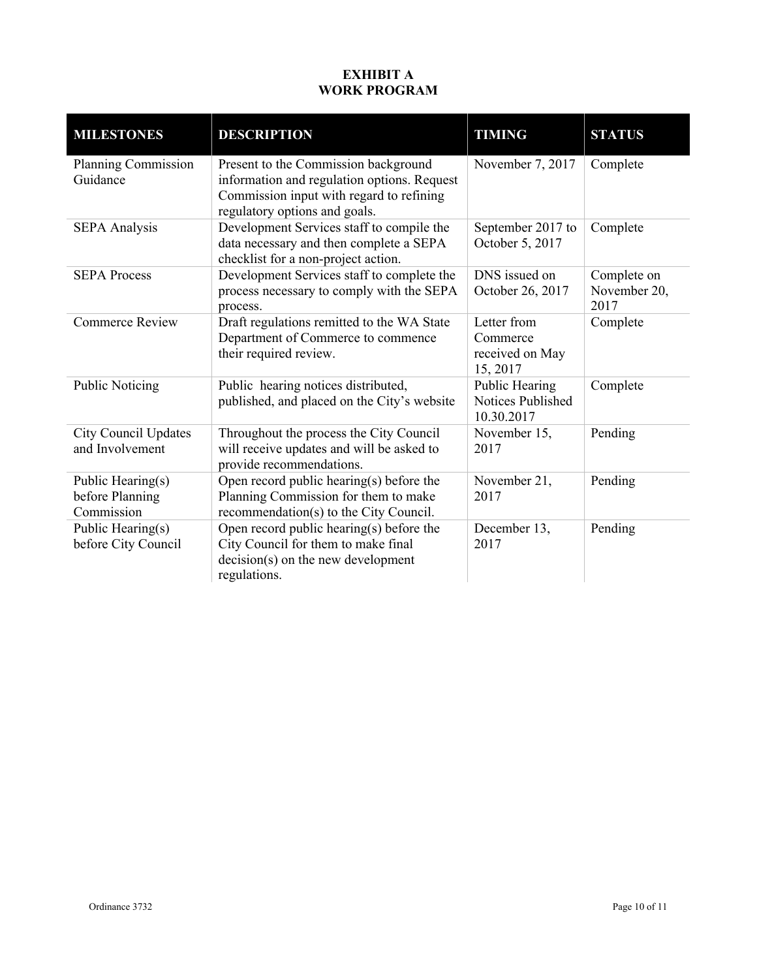# **EXHIBIT A WORK PROGRAM**

| <b>MILESTONES</b>                                  | <b>DESCRIPTION</b>                                                                                                                                               | <b>TIMING</b>                                          | <b>STATUS</b>                       |
|----------------------------------------------------|------------------------------------------------------------------------------------------------------------------------------------------------------------------|--------------------------------------------------------|-------------------------------------|
| <b>Planning Commission</b><br>Guidance             | Present to the Commission background<br>information and regulation options. Request<br>Commission input with regard to refining<br>regulatory options and goals. | November 7, 2017                                       | Complete                            |
| <b>SEPA Analysis</b>                               | Development Services staff to compile the<br>data necessary and then complete a SEPA<br>checklist for a non-project action.                                      | September 2017 to<br>October 5, 2017                   | Complete                            |
| <b>SEPA Process</b>                                | Development Services staff to complete the<br>process necessary to comply with the SEPA<br>process.                                                              | DNS issued on<br>October 26, 2017                      | Complete on<br>November 20,<br>2017 |
| <b>Commerce Review</b>                             | Draft regulations remitted to the WA State<br>Department of Commerce to commence<br>their required review.                                                       | Letter from<br>Commerce<br>received on May<br>15, 2017 | Complete                            |
| <b>Public Noticing</b>                             | Public hearing notices distributed,<br>published, and placed on the City's website                                                                               | Public Hearing<br>Notices Published<br>10.30.2017      | Complete                            |
| <b>City Council Updates</b><br>and Involvement     | Throughout the process the City Council<br>will receive updates and will be asked to<br>provide recommendations.                                                 | November 15,<br>2017                                   | Pending                             |
| Public Hearing(s)<br>before Planning<br>Commission | Open record public hearing(s) before the<br>Planning Commission for them to make<br>recommendation(s) to the City Council.                                       | November 21,<br>2017                                   | Pending                             |
| Public Hearing(s)<br>before City Council           | Open record public hearing(s) before the<br>City Council for them to make final<br>$decision(s)$ on the new development<br>regulations.                          | December 13,<br>2017                                   | Pending                             |